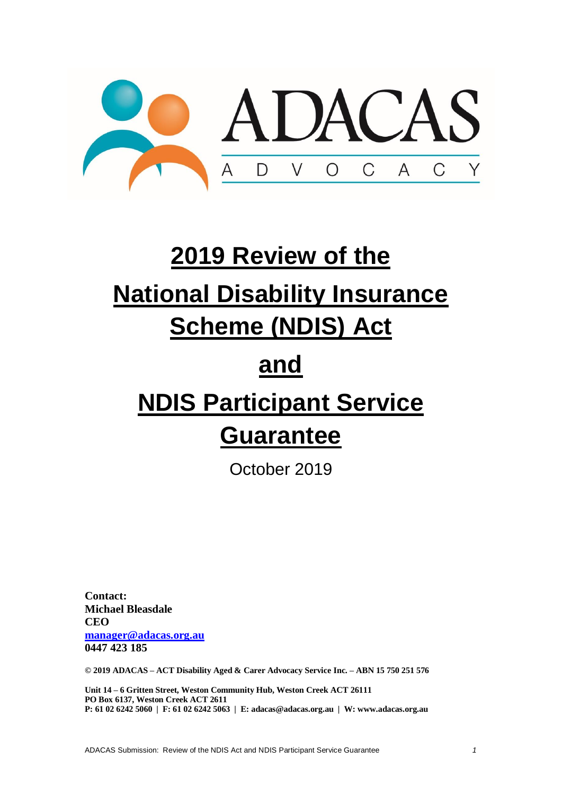

# **2019 Review of the National Disability Insurance Scheme (NDIS) Act and**

## **NDIS Participant Service Guarantee**

October 2019

**Contact: Michael Bleasdale CEO [manager@adacas.org.au](mailto:manager@adacas.org.au) 0447 423 185**

**© 2019 ADACAS – ACT Disability Aged & Carer Advocacy Service Inc. – ABN 15 750 251 576**

**Unit 14 – 6 Gritten Street, Weston Community Hub, Weston Creek ACT 26111 PO Box 6137, Weston Creek ACT 2611 P: 61 02 6242 5060 | F: 61 02 6242 5063 | E: adacas@adacas.org.au | W: www.adacas.org.au**

ADACAS Submission: Review of the NDIS Act and NDIS Participant Service Guarantee *1*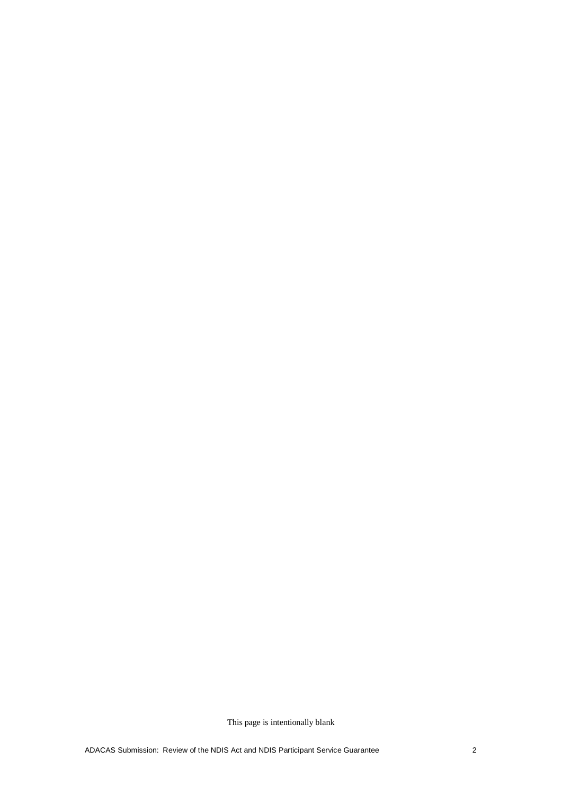This page is intentionally blank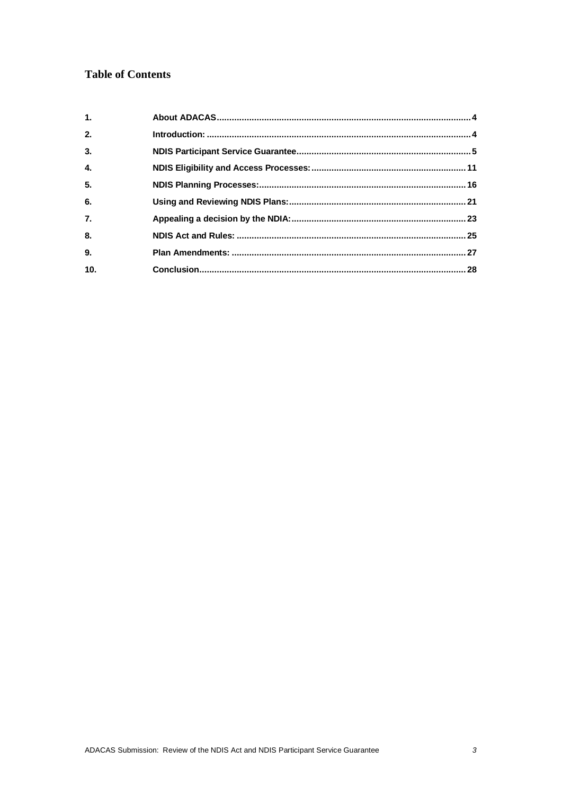### **Table of Contents**

| 1.               |  |
|------------------|--|
| 2.               |  |
| 3.               |  |
| 4.               |  |
| 5.               |  |
| 6.               |  |
| $\overline{7}$ . |  |
| 8.               |  |
| 9.               |  |
| 10.              |  |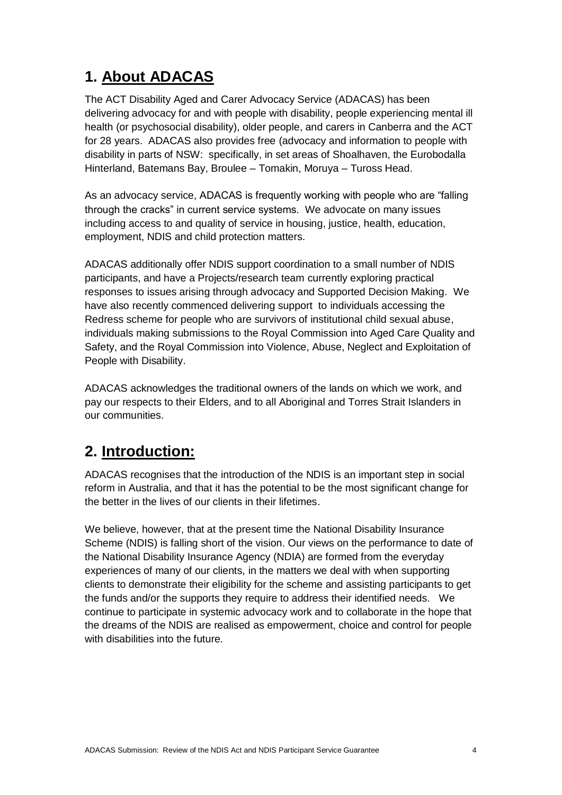### <span id="page-3-0"></span>**1. About ADACAS**

The ACT Disability Aged and Carer Advocacy Service (ADACAS) has been delivering advocacy for and with people with disability, people experiencing mental ill health (or psychosocial disability), older people, and carers in Canberra and the ACT for 28 years. ADACAS also provides free (advocacy and information to people with disability in parts of NSW: specifically, in set areas of Shoalhaven, the Eurobodalla Hinterland, Batemans Bay, Broulee – Tomakin, Moruya – Tuross Head.

As an advocacy service, ADACAS is frequently working with people who are "falling through the cracks" in current service systems. We advocate on many issues including access to and quality of service in housing, justice, health, education, employment, NDIS and child protection matters.

ADACAS additionally offer NDIS support coordination to a small number of NDIS participants, and have a Projects/research team currently exploring practical responses to issues arising through advocacy and Supported Decision Making. We have also recently commenced delivering support to individuals accessing the Redress scheme for people who are survivors of institutional child sexual abuse, individuals making submissions to the Royal Commission into Aged Care Quality and Safety, and the Royal Commission into Violence, Abuse, Neglect and Exploitation of People with Disability.

ADACAS acknowledges the traditional owners of the lands on which we work, and pay our respects to their Elders, and to all Aboriginal and Torres Strait Islanders in our communities.

### <span id="page-3-1"></span>**2. Introduction:**

ADACAS recognises that the introduction of the NDIS is an important step in social reform in Australia, and that it has the potential to be the most significant change for the better in the lives of our clients in their lifetimes.

We believe, however, that at the present time the National Disability Insurance Scheme (NDIS) is falling short of the vision. Our views on the performance to date of the National Disability Insurance Agency (NDIA) are formed from the everyday experiences of many of our clients, in the matters we deal with when supporting clients to demonstrate their eligibility for the scheme and assisting participants to get the funds and/or the supports they require to address their identified needs. We continue to participate in systemic advocacy work and to collaborate in the hope that the dreams of the NDIS are realised as empowerment, choice and control for people with disabilities into the future.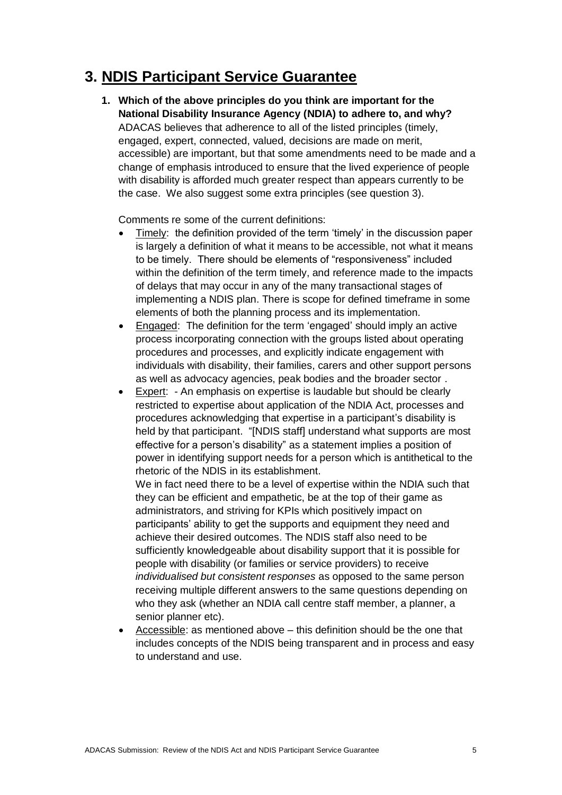### <span id="page-4-0"></span>**3. NDIS Participant Service Guarantee**

**1. Which of the above principles do you think are important for the National Disability Insurance Agency (NDIA) to adhere to, and why?** ADACAS believes that adherence to all of the listed principles (timely, engaged, expert, connected, valued, decisions are made on merit, accessible) are important, but that some amendments need to be made and a change of emphasis introduced to ensure that the lived experience of people with disability is afforded much greater respect than appears currently to be the case. We also suggest some extra principles (see question 3).

Comments re some of the current definitions:

- Timely: the definition provided of the term 'timely' in the discussion paper is largely a definition of what it means to be accessible, not what it means to be timely. There should be elements of "responsiveness" included within the definition of the term timely, and reference made to the impacts of delays that may occur in any of the many transactional stages of implementing a NDIS plan. There is scope for defined timeframe in some elements of both the planning process and its implementation.
- Engaged: The definition for the term 'engaged' should imply an active process incorporating connection with the groups listed about operating procedures and processes, and explicitly indicate engagement with individuals with disability, their families, carers and other support persons as well as advocacy agencies, peak bodies and the broader sector .
- Expert: An emphasis on expertise is laudable but should be clearly restricted to expertise about application of the NDIA Act, processes and procedures acknowledging that expertise in a participant's disability is held by that participant. "INDIS staffl understand what supports are most effective for a person's disability" as a statement implies a position of power in identifying support needs for a person which is antithetical to the rhetoric of the NDIS in its establishment.

We in fact need there to be a level of expertise within the NDIA such that they can be efficient and empathetic, be at the top of their game as administrators, and striving for KPIs which positively impact on participants' ability to get the supports and equipment they need and achieve their desired outcomes. The NDIS staff also need to be sufficiently knowledgeable about disability support that it is possible for people with disability (or families or service providers) to receive *individualised but consistent responses* as opposed to the same person receiving multiple different answers to the same questions depending on who they ask (whether an NDIA call centre staff member, a planner, a senior planner etc).

 Accessible: as mentioned above – this definition should be the one that includes concepts of the NDIS being transparent and in process and easy to understand and use.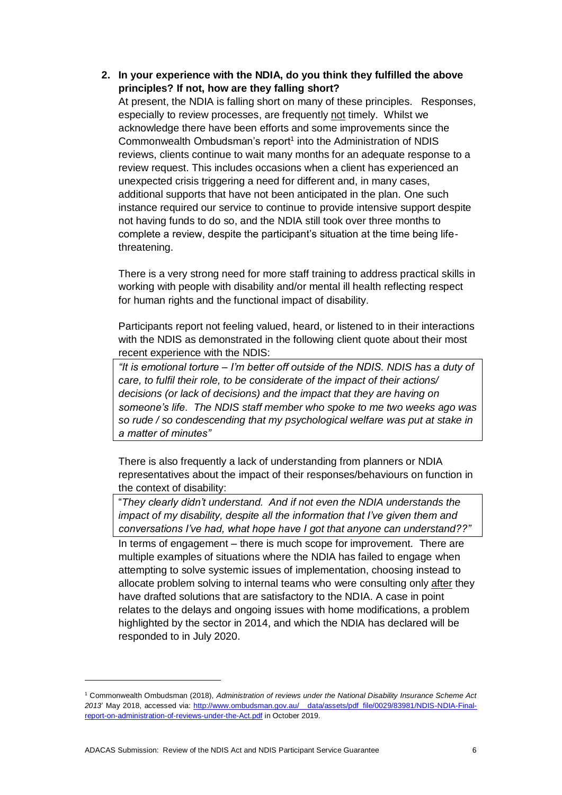**2. In your experience with the NDIA, do you think they fulfilled the above principles? If not, how are they falling short?**

At present, the NDIA is falling short on many of these principles. Responses, especially to review processes, are frequently not timely. Whilst we acknowledge there have been efforts and some improvements since the Commonwealth Ombudsman's report<sup>1</sup> into the Administration of NDIS reviews, clients continue to wait many months for an adequate response to a review request. This includes occasions when a client has experienced an unexpected crisis triggering a need for different and, in many cases, additional supports that have not been anticipated in the plan. One such instance required our service to continue to provide intensive support despite not having funds to do so, and the NDIA still took over three months to complete a review, despite the participant's situation at the time being lifethreatening.

There is a very strong need for more staff training to address practical skills in working with people with disability and/or mental ill health reflecting respect for human rights and the functional impact of disability.

Participants report not feeling valued, heard, or listened to in their interactions with the NDIS as demonstrated in the following client quote about their most recent experience with the NDIS:

*"It is emotional torture – I'm better off outside of the NDIS. NDIS has a duty of care, to fulfil their role, to be considerate of the impact of their actions/ decisions (or lack of decisions) and the impact that they are having on someone's life. The NDIS staff member who spoke to me two weeks ago was so rude / so condescending that my psychological welfare was put at stake in a matter of minutes"*

There is also frequently a lack of understanding from planners or NDIA representatives about the impact of their responses/behaviours on function in the context of disability:

"*They clearly didn't understand. And if not even the NDIA understands the impact of my disability, despite all the information that I've given them and conversations I've had, what hope have I got that anyone can understand??"*

In terms of engagement – there is much scope for improvement. There are multiple examples of situations where the NDIA has failed to engage when attempting to solve systemic issues of implementation, choosing instead to allocate problem solving to internal teams who were consulting only after they have drafted solutions that are satisfactory to the NDIA. A case in point relates to the delays and ongoing issues with home modifications, a problem highlighted by the sector in 2014, and which the NDIA has declared will be responded to in July 2020.

 $\overline{a}$ 

<sup>1</sup> Commonwealth Ombudsman (2018), *Administration of reviews under the National Disability Insurance Scheme Act 2013*' May 2018, accessed via: [http://www.ombudsman.gov.au/\\_\\_data/assets/pdf\\_file/0029/83981/NDIS-NDIA-Final](http://www.ombudsman.gov.au/__data/assets/pdf_file/0029/83981/NDIS-NDIA-Final-report-on-administration-of-reviews-under-the-Act.pdf)[report-on-administration-of-reviews-under-the-Act.pdf](http://www.ombudsman.gov.au/__data/assets/pdf_file/0029/83981/NDIS-NDIA-Final-report-on-administration-of-reviews-under-the-Act.pdf) in October 2019.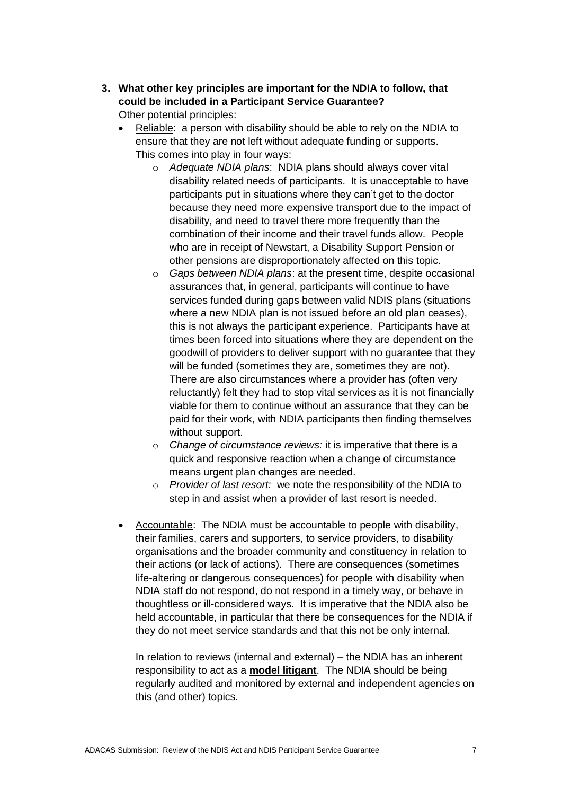- **3. What other key principles are important for the NDIA to follow, that could be included in a Participant Service Guarantee?** Other potential principles:
	- Reliable: a person with disability should be able to rely on the NDIA to ensure that they are not left without adequate funding or supports. This comes into play in four ways:
		- o *Adequate NDIA plans*: NDIA plans should always cover vital disability related needs of participants. It is unacceptable to have participants put in situations where they can't get to the doctor because they need more expensive transport due to the impact of disability, and need to travel there more frequently than the combination of their income and their travel funds allow. People who are in receipt of Newstart, a Disability Support Pension or other pensions are disproportionately affected on this topic.
		- o *Gaps between NDIA plans*: at the present time, despite occasional assurances that, in general, participants will continue to have services funded during gaps between valid NDIS plans (situations where a new NDIA plan is not issued before an old plan ceases), this is not always the participant experience. Participants have at times been forced into situations where they are dependent on the goodwill of providers to deliver support with no guarantee that they will be funded (sometimes they are, sometimes they are not). There are also circumstances where a provider has (often very reluctantly) felt they had to stop vital services as it is not financially viable for them to continue without an assurance that they can be paid for their work, with NDIA participants then finding themselves without support.
		- o *Change of circumstance reviews:* it is imperative that there is a quick and responsive reaction when a change of circumstance means urgent plan changes are needed.
		- o *Provider of last resort:* we note the responsibility of the NDIA to step in and assist when a provider of last resort is needed.
	- Accountable: The NDIA must be accountable to people with disability, their families, carers and supporters, to service providers, to disability organisations and the broader community and constituency in relation to their actions (or lack of actions). There are consequences (sometimes life-altering or dangerous consequences) for people with disability when NDIA staff do not respond, do not respond in a timely way, or behave in thoughtless or ill-considered ways. It is imperative that the NDIA also be held accountable, in particular that there be consequences for the NDIA if they do not meet service standards and that this not be only internal.

In relation to reviews (internal and external) – the NDIA has an inherent responsibility to act as a **model litigant**. The NDIA should be being regularly audited and monitored by external and independent agencies on this (and other) topics.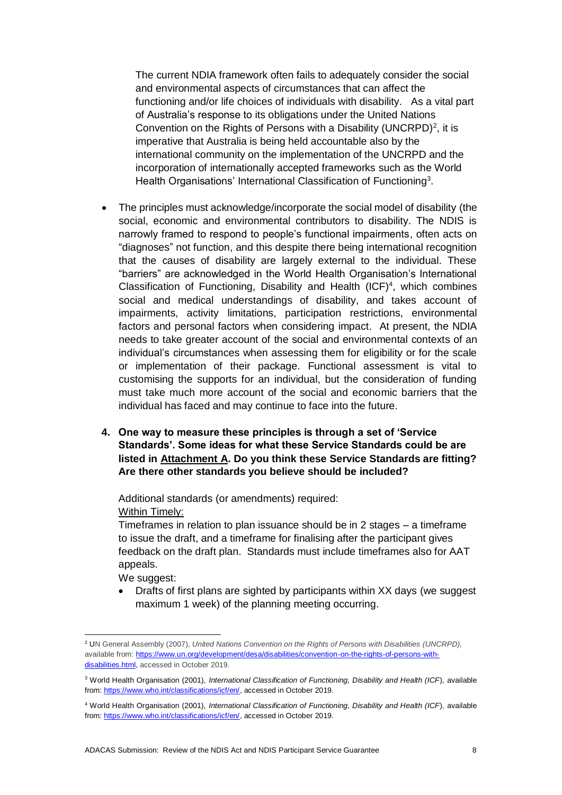The current NDIA framework often fails to adequately consider the social and environmental aspects of circumstances that can affect the functioning and/or life choices of individuals with disability. As a vital part of Australia's response to its obligations under the United Nations Convention on the Rights of Persons with a Disability (UNCRPD)<sup>2</sup>, it is imperative that Australia is being held accountable also by the international community on the implementation of the UNCRPD and the incorporation of internationally accepted frameworks such as the World Health Organisations' International Classification of Functioning<sup>3</sup>.

- The principles must acknowledge/incorporate the social model of disability (the social, economic and environmental contributors to disability. The NDIS is narrowly framed to respond to people's functional impairments, often acts on "diagnoses" not function, and this despite there being international recognition that the causes of disability are largely external to the individual. These "barriers" are acknowledged in the World Health Organisation's International Classification of Functioning, Disability and Health (ICF)<sup>4</sup>, which combines social and medical understandings of disability, and takes account of impairments, activity limitations, participation restrictions, environmental factors and personal factors when considering impact. At present, the NDIA needs to take greater account of the social and environmental contexts of an individual's circumstances when assessing them for eligibility or for the scale or implementation of their package. Functional assessment is vital to customising the supports for an individual, but the consideration of funding must take much more account of the social and economic barriers that the individual has faced and may continue to face into the future.
- **4. One way to measure these principles is through a set of 'Service Standards'. Some ideas for what these Service Standards could be are listed in Attachment A. Do you think these Service Standards are fitting? Are there other standards you believe should be included?**

Additional standards (or amendments) required: Within Timely:

Timeframes in relation to plan issuance should be in 2 stages – a timeframe to issue the draft, and a timeframe for finalising after the participant gives feedback on the draft plan. Standards must include timeframes also for AAT appeals.

We suggest:

 $\overline{a}$ 

 Drafts of first plans are sighted by participants within XX days (we suggest maximum 1 week) of the planning meeting occurring.

<sup>2</sup> UN General Assembly (2007), *United Nations Convention on the Rights of Persons with Disabilities (UNCRPD),*  available from: [https://www.un.org/development/desa/disabilities/convention-on-the-rights-of-persons-with](https://www.un.org/development/desa/disabilities/convention-on-the-rights-of-persons-with-disabilities.html)[disabilities.html,](https://www.un.org/development/desa/disabilities/convention-on-the-rights-of-persons-with-disabilities.html) accessed in October 2019.

<sup>3</sup> World Health Organisation (2001), *International Classification of Functioning, Disability and Health (ICF*), available from: [https://www.who.int/classifications/icf/en/,](https://www.who.int/classifications/icf/en/) accessed in October 2019.

<sup>4</sup> World Health Organisation (2001), *International Classification of Functioning, Disability and Health (ICF*), available from: [https://www.who.int/classifications/icf/en/,](https://www.who.int/classifications/icf/en/) accessed in October 2019.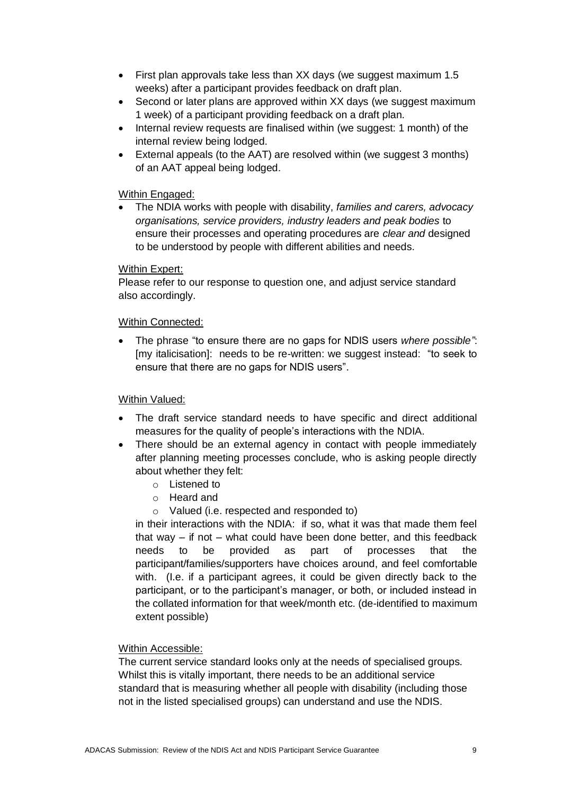- First plan approvals take less than XX days (we suggest maximum 1.5) weeks) after a participant provides feedback on draft plan.
- Second or later plans are approved within XX days (we suggest maximum 1 week) of a participant providing feedback on a draft plan.
- Internal review requests are finalised within (we suggest: 1 month) of the internal review being lodged.
- External appeals (to the AAT) are resolved within (we suggest 3 months) of an AAT appeal being lodged.

#### Within Engaged:

 The NDIA works with people with disability, *families and carers, advocacy organisations, service providers, industry leaders and peak bodies* to ensure their processes and operating procedures are *clear and* designed to be understood by people with different abilities and needs.

#### Within Expert:

Please refer to our response to question one, and adjust service standard also accordingly.

#### Within Connected:

 The phrase "to ensure there are no gaps for NDIS users *where possible"*: [my italicisation]: needs to be re-written: we suggest instead: "to seek to ensure that there are no gaps for NDIS users".

#### Within Valued:

- The draft service standard needs to have specific and direct additional measures for the quality of people's interactions with the NDIA.
- There should be an external agency in contact with people immediately after planning meeting processes conclude, who is asking people directly about whether they felt:
	- o Listened to
	- o Heard and
	- o Valued (i.e. respected and responded to)

in their interactions with the NDIA: if so, what it was that made them feel that way – if not – what could have been done better, and this feedback needs to be provided as part of processes that the participant/families/supporters have choices around, and feel comfortable with. (I.e. if a participant agrees, it could be given directly back to the participant, or to the participant's manager, or both, or included instead in the collated information for that week/month etc. (de-identified to maximum extent possible)

#### Within Accessible:

The current service standard looks only at the needs of specialised groups. Whilst this is vitally important, there needs to be an additional service standard that is measuring whether all people with disability (including those not in the listed specialised groups) can understand and use the NDIS.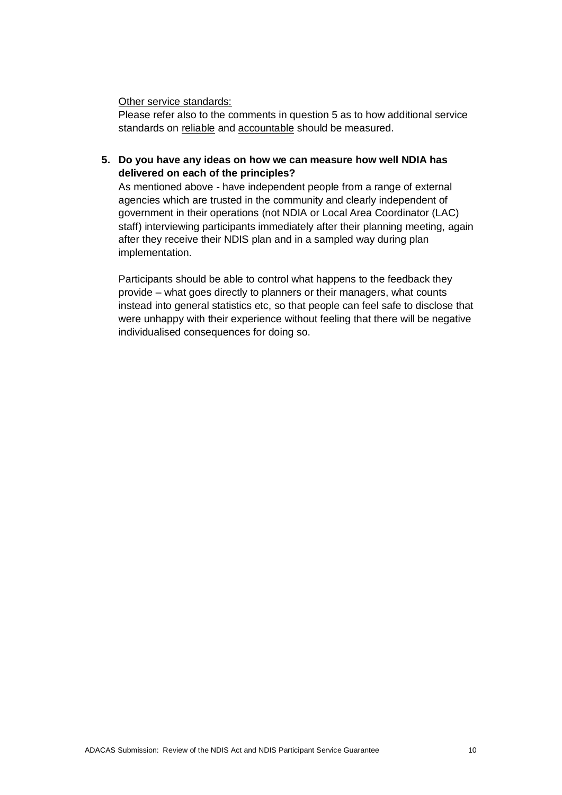Other service standards:

Please refer also to the comments in question 5 as to how additional service standards on reliable and accountable should be measured.

### **5. Do you have any ideas on how we can measure how well NDIA has delivered on each of the principles?**

As mentioned above - have independent people from a range of external agencies which are trusted in the community and clearly independent of government in their operations (not NDIA or Local Area Coordinator (LAC) staff) interviewing participants immediately after their planning meeting, again after they receive their NDIS plan and in a sampled way during plan implementation.

Participants should be able to control what happens to the feedback they provide – what goes directly to planners or their managers, what counts instead into general statistics etc, so that people can feel safe to disclose that were unhappy with their experience without feeling that there will be negative individualised consequences for doing so.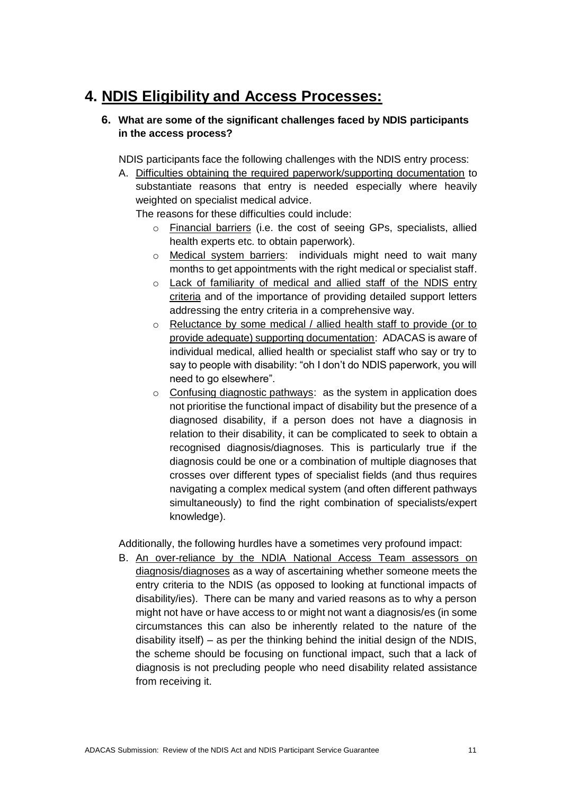### <span id="page-10-0"></span>**4. NDIS Eligibility and Access Processes:**

### **6. What are some of the significant challenges faced by NDIS participants in the access process?**

NDIS participants face the following challenges with the NDIS entry process:

A. Difficulties obtaining the required paperwork/supporting documentation to substantiate reasons that entry is needed especially where heavily weighted on specialist medical advice.

The reasons for these difficulties could include:

- o Financial barriers (i.e. the cost of seeing GPs, specialists, allied health experts etc. to obtain paperwork).
- o Medical system barriers: individuals might need to wait many months to get appointments with the right medical or specialist staff.
- o Lack of familiarity of medical and allied staff of the NDIS entry criteria and of the importance of providing detailed support letters addressing the entry criteria in a comprehensive way.
- o Reluctance by some medical / allied health staff to provide (or to provide adequate) supporting documentation: ADACAS is aware of individual medical, allied health or specialist staff who say or try to say to people with disability: "oh I don't do NDIS paperwork, you will need to go elsewhere".
- o Confusing diagnostic pathways: as the system in application does not prioritise the functional impact of disability but the presence of a diagnosed disability, if a person does not have a diagnosis in relation to their disability, it can be complicated to seek to obtain a recognised diagnosis/diagnoses. This is particularly true if the diagnosis could be one or a combination of multiple diagnoses that crosses over different types of specialist fields (and thus requires navigating a complex medical system (and often different pathways simultaneously) to find the right combination of specialists/expert knowledge).

Additionally, the following hurdles have a sometimes very profound impact:

B. An over-reliance by the NDIA National Access Team assessors on diagnosis/diagnoses as a way of ascertaining whether someone meets the entry criteria to the NDIS (as opposed to looking at functional impacts of disability/ies). There can be many and varied reasons as to why a person might not have or have access to or might not want a diagnosis/es (in some circumstances this can also be inherently related to the nature of the disability itself) – as per the thinking behind the initial design of the NDIS, the scheme should be focusing on functional impact, such that a lack of diagnosis is not precluding people who need disability related assistance from receiving it.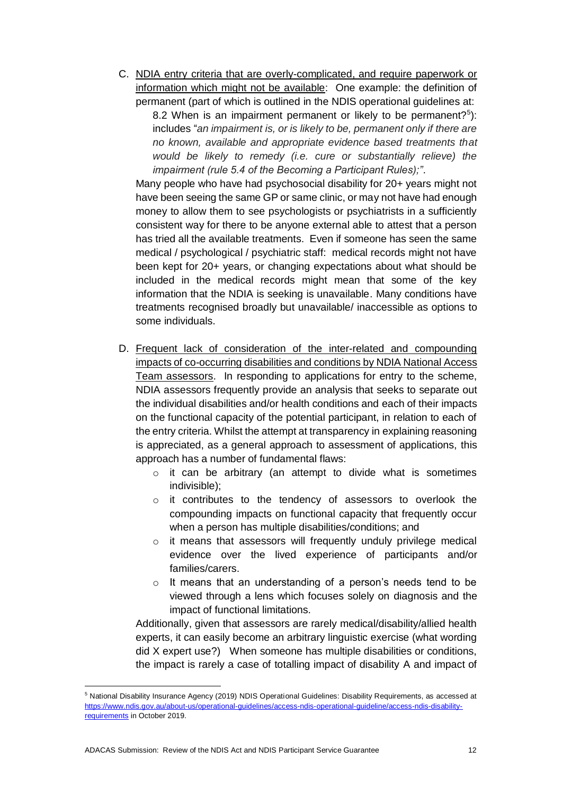C. NDIA entry criteria that are overly-complicated, and require paperwork or information which might not be available: One example: the definition of permanent (part of which is outlined in the NDIS operational guidelines at:

8.2 When is an impairment permanent or likely to be permanent?<sup>5</sup>): includes "*an impairment is, or is likely to be, permanent only if there are no known, available and appropriate evidence based treatments that would be likely to remedy (i.e. cure or substantially relieve) the impairment (rule 5.4 of the Becoming a Participant Rules);"*.

Many people who have had psychosocial disability for 20+ years might not have been seeing the same GP or same clinic, or may not have had enough money to allow them to see psychologists or psychiatrists in a sufficiently consistent way for there to be anyone external able to attest that a person has tried all the available treatments. Even if someone has seen the same medical / psychological / psychiatric staff: medical records might not have been kept for 20+ years, or changing expectations about what should be included in the medical records might mean that some of the key information that the NDIA is seeking is unavailable. Many conditions have treatments recognised broadly but unavailable/ inaccessible as options to some individuals.

- D. Frequent lack of consideration of the inter-related and compounding impacts of co-occurring disabilities and conditions by NDIA National Access Team assessors. In responding to applications for entry to the scheme, NDIA assessors frequently provide an analysis that seeks to separate out the individual disabilities and/or health conditions and each of their impacts on the functional capacity of the potential participant, in relation to each of the entry criteria. Whilst the attempt at transparency in explaining reasoning is appreciated, as a general approach to assessment of applications, this approach has a number of fundamental flaws:
	- o it can be arbitrary (an attempt to divide what is sometimes indivisible);
	- o it contributes to the tendency of assessors to overlook the compounding impacts on functional capacity that frequently occur when a person has multiple disabilities/conditions; and
	- o it means that assessors will frequently unduly privilege medical evidence over the lived experience of participants and/or families/carers.
	- o It means that an understanding of a person's needs tend to be viewed through a lens which focuses solely on diagnosis and the impact of functional limitations.

Additionally, given that assessors are rarely medical/disability/allied health experts, it can easily become an arbitrary linguistic exercise (what wording did X expert use?) When someone has multiple disabilities or conditions, the impact is rarely a case of totalling impact of disability A and impact of

 $\overline{a}$ 

<sup>5</sup> National Disability Insurance Agency (2019) NDIS Operational Guidelines: Disability Requirements, as accessed at [https://www.ndis.gov.au/about-us/operational-guidelines/access-ndis-operational-guideline/access-ndis-disability](https://www.ndis.gov.au/about-us/operational-guidelines/access-ndis-operational-guideline/access-ndis-disability-requirements)[requirements](https://www.ndis.gov.au/about-us/operational-guidelines/access-ndis-operational-guideline/access-ndis-disability-requirements) in October 2019.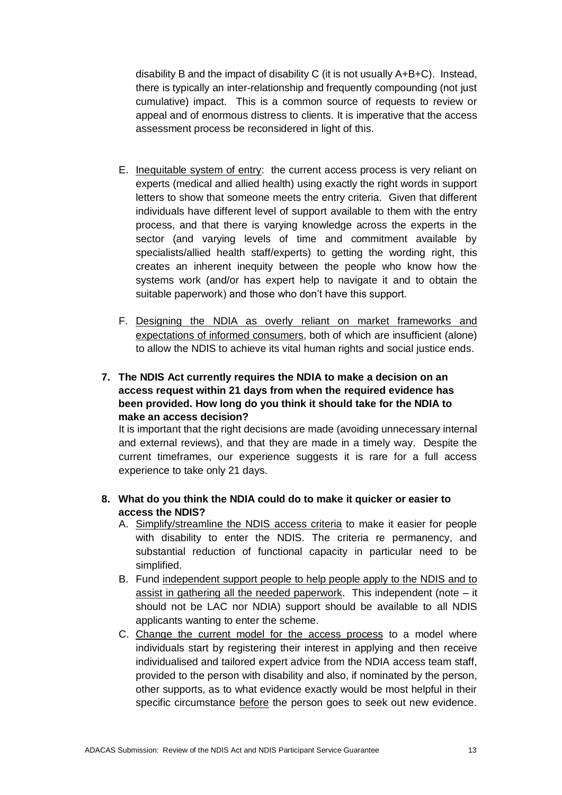disability B and the impact of disability C (it is not usually A+B+C). Instead, there is typically an inter-relationship and frequently compounding (not just cumulative) impact. This is a common source of requests to review or appeal and of enormous distress to clients. It is imperative that the access assessment process be reconsidered in light of this.

- E. Inequitable system of entry: the current access process is very reliant on experts (medical and allied health) using exactly the right words in support letters to show that someone meets the entry criteria. Given that different individuals have different level of support available to them with the entry process, and that there is varying knowledge across the experts in the sector (and varying levels of time and commitment available by specialists/allied health staff/experts) to getting the wording right, this creates an inherent inequity between the people who know how the systems work (and/or has expert help to navigate it and to obtain the suitable paperwork) and those who don't have this support.
- F. Designing the NDIA as overly reliant on market frameworks and expectations of informed consumers, both of which are insufficient (alone) to allow the NDIS to achieve its vital human rights and social justice ends.
- **7. The NDIS Act currently requires the NDIA to make a decision on an access request within 21 days from when the required evidence has been provided. How long do you think it should take for the NDIA to make an access decision?**

It is important that the right decisions are made (avoiding unnecessary internal and external reviews), and that they are made in a timely way. Despite the current timeframes, our experience suggests it is rare for a full access experience to take only 21 days.

- **8. What do you think the NDIA could do to make it quicker or easier to access the NDIS?**
	- A. Simplify/streamline the NDIS access criteria to make it easier for people with disability to enter the NDIS. The criteria re permanency, and substantial reduction of functional capacity in particular need to be simplified.
	- B. Fund independent support people to help people apply to the NDIS and to assist in gathering all the needed paperwork. This independent (note – it should not be LAC nor NDIA) support should be available to all NDIS applicants wanting to enter the scheme.
	- C. Change the current model for the access process to a model where individuals start by registering their interest in applying and then receive individualised and tailored expert advice from the NDIA access team staff, provided to the person with disability and also, if nominated by the person, other supports, as to what evidence exactly would be most helpful in their specific circumstance before the person goes to seek out new evidence.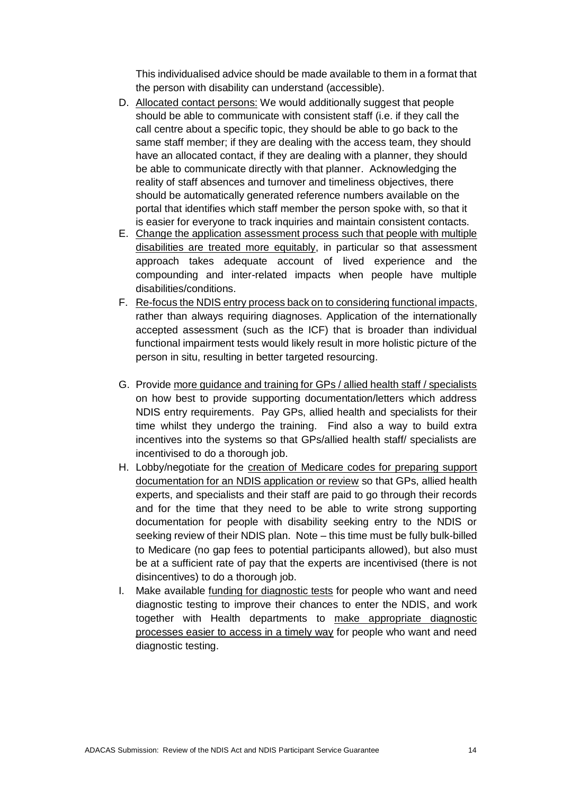This individualised advice should be made available to them in a format that the person with disability can understand (accessible).

- D. Allocated contact persons: We would additionally suggest that people should be able to communicate with consistent staff (i.e. if they call the call centre about a specific topic, they should be able to go back to the same staff member; if they are dealing with the access team, they should have an allocated contact, if they are dealing with a planner, they should be able to communicate directly with that planner. Acknowledging the reality of staff absences and turnover and timeliness objectives, there should be automatically generated reference numbers available on the portal that identifies which staff member the person spoke with, so that it is easier for everyone to track inquiries and maintain consistent contacts.
- E. Change the application assessment process such that people with multiple disabilities are treated more equitably, in particular so that assessment approach takes adequate account of lived experience and the compounding and inter-related impacts when people have multiple disabilities/conditions.
- F. Re-focus the NDIS entry process back on to considering functional impacts, rather than always requiring diagnoses. Application of the internationally accepted assessment (such as the ICF) that is broader than individual functional impairment tests would likely result in more holistic picture of the person in situ, resulting in better targeted resourcing.
- G. Provide more guidance and training for GPs / allied health staff / specialists on how best to provide supporting documentation/letters which address NDIS entry requirements. Pay GPs, allied health and specialists for their time whilst they undergo the training. Find also a way to build extra incentives into the systems so that GPs/allied health staff/ specialists are incentivised to do a thorough job.
- H. Lobby/negotiate for the creation of Medicare codes for preparing support documentation for an NDIS application or review so that GPs, allied health experts, and specialists and their staff are paid to go through their records and for the time that they need to be able to write strong supporting documentation for people with disability seeking entry to the NDIS or seeking review of their NDIS plan. Note – this time must be fully bulk-billed to Medicare (no gap fees to potential participants allowed), but also must be at a sufficient rate of pay that the experts are incentivised (there is not disincentives) to do a thorough job.
- I. Make available funding for diagnostic tests for people who want and need diagnostic testing to improve their chances to enter the NDIS, and work together with Health departments to make appropriate diagnostic processes easier to access in a timely way for people who want and need diagnostic testing.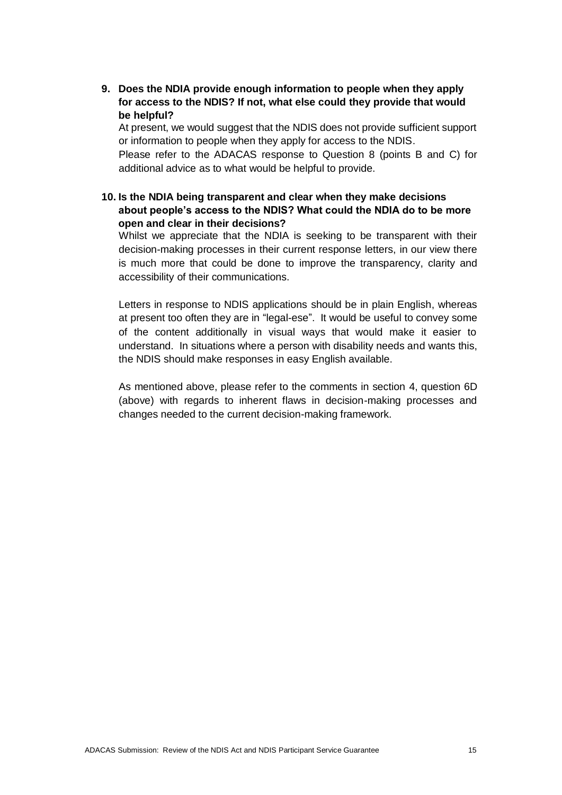**9. Does the NDIA provide enough information to people when they apply for access to the NDIS? If not, what else could they provide that would be helpful?**

At present, we would suggest that the NDIS does not provide sufficient support or information to people when they apply for access to the NDIS.

Please refer to the ADACAS response to Question 8 (points B and C) for additional advice as to what would be helpful to provide.

**10. Is the NDIA being transparent and clear when they make decisions about people's access to the NDIS? What could the NDIA do to be more open and clear in their decisions?** 

Whilst we appreciate that the NDIA is seeking to be transparent with their decision-making processes in their current response letters, in our view there is much more that could be done to improve the transparency, clarity and accessibility of their communications.

Letters in response to NDIS applications should be in plain English, whereas at present too often they are in "legal-ese". It would be useful to convey some of the content additionally in visual ways that would make it easier to understand. In situations where a person with disability needs and wants this, the NDIS should make responses in easy English available.

As mentioned above, please refer to the comments in section 4, question 6D (above) with regards to inherent flaws in decision-making processes and changes needed to the current decision-making framework.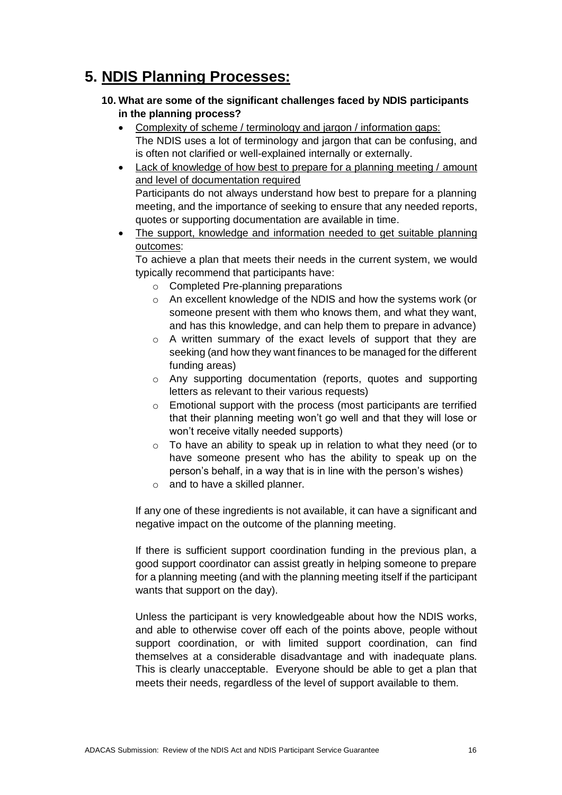### <span id="page-15-0"></span>**5. NDIS Planning Processes:**

### **10. What are some of the significant challenges faced by NDIS participants in the planning process?**

- Complexity of scheme / terminology and jargon / information gaps: The NDIS uses a lot of terminology and jargon that can be confusing, and is often not clarified or well-explained internally or externally.
- Lack of knowledge of how best to prepare for a planning meeting / amount and level of documentation required Participants do not always understand how best to prepare for a planning meeting, and the importance of seeking to ensure that any needed reports, quotes or supporting documentation are available in time.
- The support, knowledge and information needed to get suitable planning outcomes:

To achieve a plan that meets their needs in the current system, we would typically recommend that participants have:

- o Completed Pre-planning preparations
- o An excellent knowledge of the NDIS and how the systems work (or someone present with them who knows them, and what they want, and has this knowledge, and can help them to prepare in advance)
- o A written summary of the exact levels of support that they are seeking (and how they want finances to be managed for the different funding areas)
- o Any supporting documentation (reports, quotes and supporting letters as relevant to their various requests)
- $\circ$  Emotional support with the process (most participants are terrified that their planning meeting won't go well and that they will lose or won't receive vitally needed supports)
- o To have an ability to speak up in relation to what they need (or to have someone present who has the ability to speak up on the person's behalf, in a way that is in line with the person's wishes)
- o and to have a skilled planner.

If any one of these ingredients is not available, it can have a significant and negative impact on the outcome of the planning meeting.

If there is sufficient support coordination funding in the previous plan, a good support coordinator can assist greatly in helping someone to prepare for a planning meeting (and with the planning meeting itself if the participant wants that support on the day).

Unless the participant is very knowledgeable about how the NDIS works, and able to otherwise cover off each of the points above, people without support coordination, or with limited support coordination, can find themselves at a considerable disadvantage and with inadequate plans. This is clearly unacceptable. Everyone should be able to get a plan that meets their needs, regardless of the level of support available to them.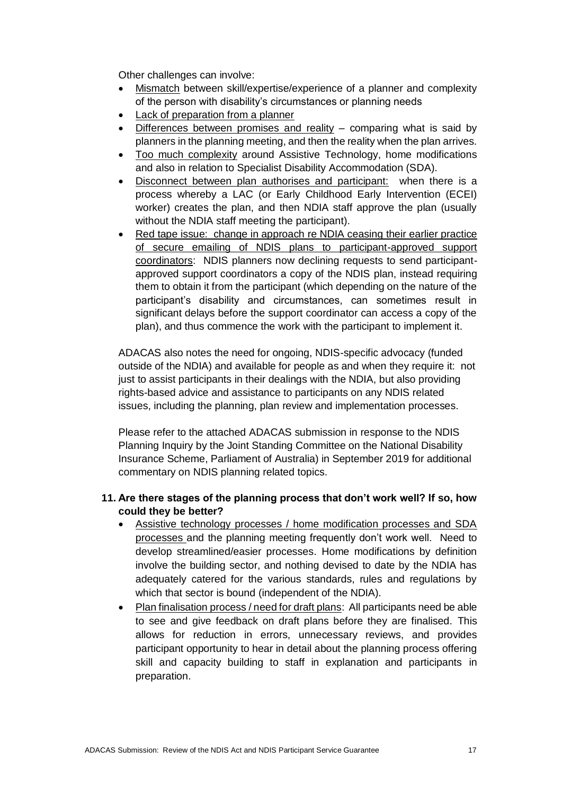Other challenges can involve:

- Mismatch between skill/expertise/experience of a planner and complexity of the person with disability's circumstances or planning needs
- Lack of preparation from a planner
- Differences between promises and reality comparing what is said by planners in the planning meeting, and then the reality when the plan arrives.
- Too much complexity around Assistive Technology, home modifications and also in relation to Specialist Disability Accommodation (SDA).
- Disconnect between plan authorises and participant: when there is a process whereby a LAC (or Early Childhood Early Intervention (ECEI) worker) creates the plan, and then NDIA staff approve the plan (usually without the NDIA staff meeting the participant).
- Red tape issue: change in approach re NDIA ceasing their earlier practice of secure emailing of NDIS plans to participant-approved support coordinators: NDIS planners now declining requests to send participantapproved support coordinators a copy of the NDIS plan, instead requiring them to obtain it from the participant (which depending on the nature of the participant's disability and circumstances, can sometimes result in significant delays before the support coordinator can access a copy of the plan), and thus commence the work with the participant to implement it.

ADACAS also notes the need for ongoing, NDIS-specific advocacy (funded outside of the NDIA) and available for people as and when they require it: not just to assist participants in their dealings with the NDIA, but also providing rights-based advice and assistance to participants on any NDIS related issues, including the planning, plan review and implementation processes.

Please refer to the attached ADACAS submission in response to the NDIS Planning Inquiry by the Joint Standing Committee on the National Disability Insurance Scheme, Parliament of Australia) in September 2019 for additional commentary on NDIS planning related topics.

#### **11. Are there stages of the planning process that don't work well? If so, how could they be better?**

- Assistive technology processes / home modification processes and SDA processes and the planning meeting frequently don't work well. Need to develop streamlined/easier processes. Home modifications by definition involve the building sector, and nothing devised to date by the NDIA has adequately catered for the various standards, rules and regulations by which that sector is bound (independent of the NDIA).
- Plan finalisation process / need for draft plans: All participants need be able to see and give feedback on draft plans before they are finalised. This allows for reduction in errors, unnecessary reviews, and provides participant opportunity to hear in detail about the planning process offering skill and capacity building to staff in explanation and participants in preparation.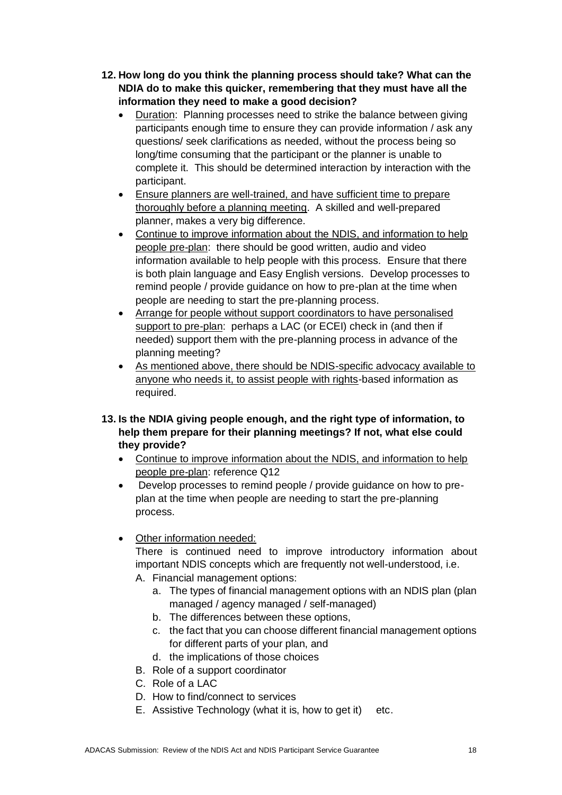- **12. How long do you think the planning process should take? What can the NDIA do to make this quicker, remembering that they must have all the information they need to make a good decision?**
	- Duration: Planning processes need to strike the balance between giving participants enough time to ensure they can provide information / ask any questions/ seek clarifications as needed, without the process being so long/time consuming that the participant or the planner is unable to complete it. This should be determined interaction by interaction with the participant.
	- Ensure planners are well-trained, and have sufficient time to prepare thoroughly before a planning meeting. A skilled and well-prepared planner, makes a very big difference.
	- Continue to improve information about the NDIS, and information to help people pre-plan: there should be good written, audio and video information available to help people with this process. Ensure that there is both plain language and Easy English versions. Develop processes to remind people / provide guidance on how to pre-plan at the time when people are needing to start the pre-planning process.
	- Arrange for people without support coordinators to have personalised support to pre-plan: perhaps a LAC (or ECEI) check in (and then if needed) support them with the pre-planning process in advance of the planning meeting?
	- As mentioned above, there should be NDIS-specific advocacy available to anyone who needs it, to assist people with rights-based information as required.
- **13. Is the NDIA giving people enough, and the right type of information, to help them prepare for their planning meetings? If not, what else could they provide?**
	- Continue to improve information about the NDIS, and information to help people pre-plan: reference Q12
	- Develop processes to remind people / provide guidance on how to preplan at the time when people are needing to start the pre-planning process.
	- Other information needed:

There is continued need to improve introductory information about important NDIS concepts which are frequently not well-understood, i.e.

- A. Financial management options:
	- a. The types of financial management options with an NDIS plan (plan managed / agency managed / self-managed)
	- b. The differences between these options,
	- c. the fact that you can choose different financial management options for different parts of your plan, and
	- d. the implications of those choices
- B. Role of a support coordinator
- C. Role of a LAC
- D. How to find/connect to services
- E. Assistive Technology (what it is, how to get it) etc.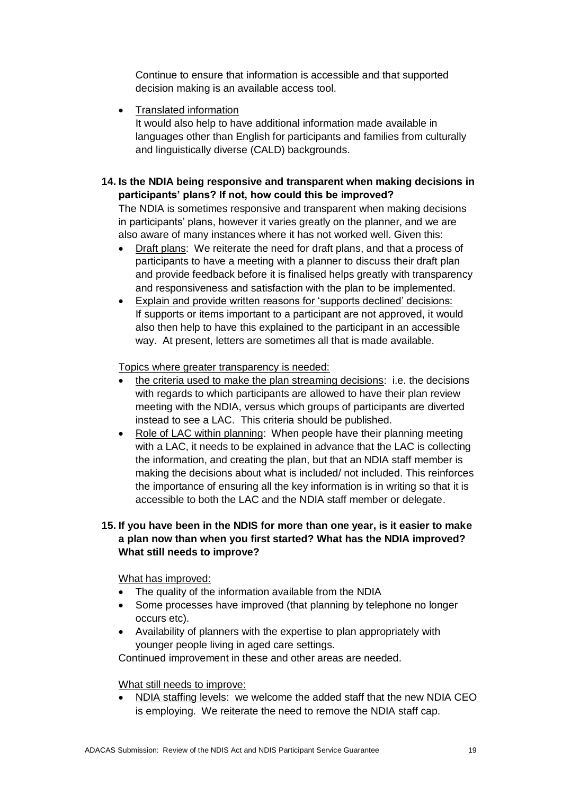Continue to ensure that information is accessible and that supported decision making is an available access tool.

• Translated information

It would also help to have additional information made available in languages other than English for participants and families from culturally and linguistically diverse (CALD) backgrounds.

**14. Is the NDIA being responsive and transparent when making decisions in participants' plans? If not, how could this be improved?**

The NDIA is sometimes responsive and transparent when making decisions in participants' plans, however it varies greatly on the planner, and we are also aware of many instances where it has not worked well. Given this:

- Draft plans: We reiterate the need for draft plans, and that a process of participants to have a meeting with a planner to discuss their draft plan and provide feedback before it is finalised helps greatly with transparency and responsiveness and satisfaction with the plan to be implemented.
- Explain and provide written reasons for 'supports declined' decisions: If supports or items important to a participant are not approved, it would also then help to have this explained to the participant in an accessible way. At present, letters are sometimes all that is made available.

Topics where greater transparency is needed:

- the criteria used to make the plan streaming decisions: i.e. the decisions with regards to which participants are allowed to have their plan review meeting with the NDIA, versus which groups of participants are diverted instead to see a LAC. This criteria should be published.
- Role of LAC within planning: When people have their planning meeting with a LAC, it needs to be explained in advance that the LAC is collecting the information, and creating the plan, but that an NDIA staff member is making the decisions about what is included/ not included. This reinforces the importance of ensuring all the key information is in writing so that it is accessible to both the LAC and the NDIA staff member or delegate.

### **15. If you have been in the NDIS for more than one year, is it easier to make a plan now than when you first started? What has the NDIA improved? What still needs to improve?**

What has improved:

- The quality of the information available from the NDIA
- Some processes have improved (that planning by telephone no longer occurs etc).
- Availability of planners with the expertise to plan appropriately with younger people living in aged care settings.

Continued improvement in these and other areas are needed.

What still needs to improve:

 NDIA staffing levels: we welcome the added staff that the new NDIA CEO is employing. We reiterate the need to remove the NDIA staff cap.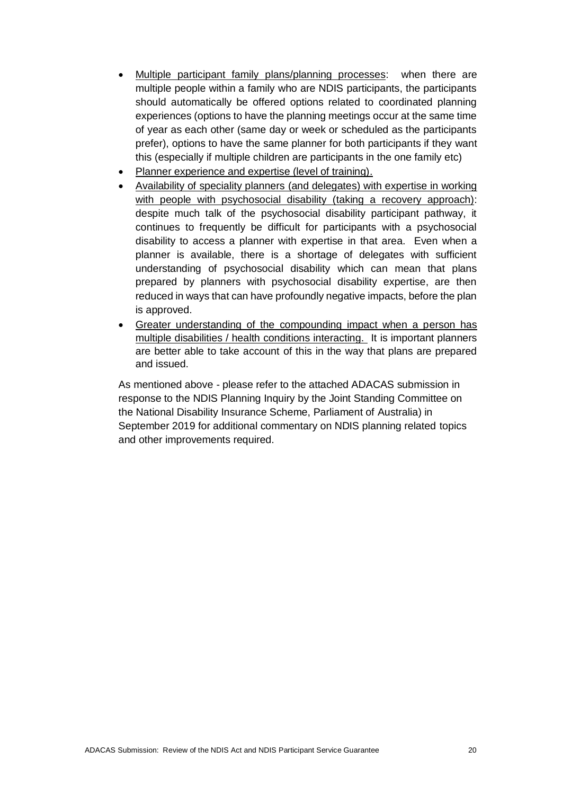- Multiple participant family plans/planning processes: when there are multiple people within a family who are NDIS participants, the participants should automatically be offered options related to coordinated planning experiences (options to have the planning meetings occur at the same time of year as each other (same day or week or scheduled as the participants prefer), options to have the same planner for both participants if they want this (especially if multiple children are participants in the one family etc)
- Planner experience and expertise (level of training).
- Availability of speciality planners (and delegates) with expertise in working with people with psychosocial disability (taking a recovery approach): despite much talk of the psychosocial disability participant pathway, it continues to frequently be difficult for participants with a psychosocial disability to access a planner with expertise in that area. Even when a planner is available, there is a shortage of delegates with sufficient understanding of psychosocial disability which can mean that plans prepared by planners with psychosocial disability expertise, are then reduced in ways that can have profoundly negative impacts, before the plan is approved.
- Greater understanding of the compounding impact when a person has multiple disabilities / health conditions interacting. It is important planners are better able to take account of this in the way that plans are prepared and issued.

As mentioned above - please refer to the attached ADACAS submission in response to the NDIS Planning Inquiry by the Joint Standing Committee on the National Disability Insurance Scheme, Parliament of Australia) in September 2019 for additional commentary on NDIS planning related topics and other improvements required.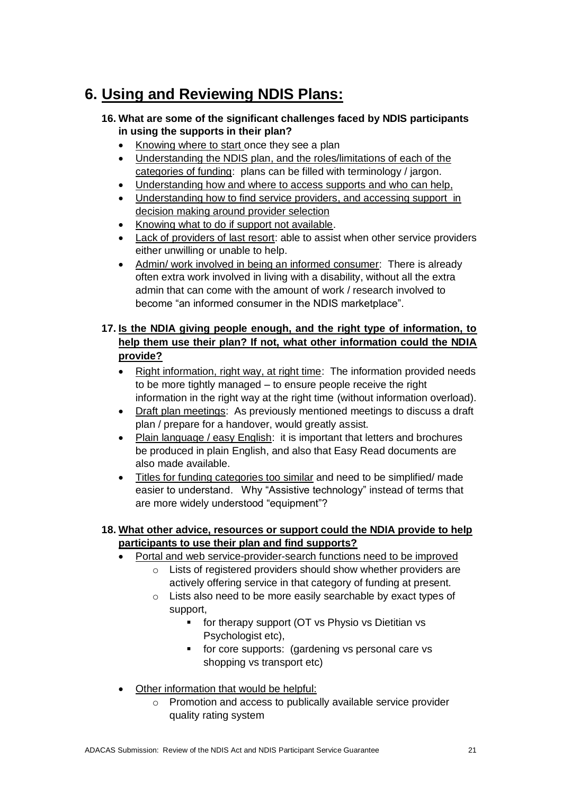### <span id="page-20-0"></span>**6. Using and Reviewing NDIS Plans:**

### **16. What are some of the significant challenges faced by NDIS participants in using the supports in their plan?**

- Knowing where to start once they see a plan
- Understanding the NDIS plan, and the roles/limitations of each of the categories of funding: plans can be filled with terminology / jargon.
- Understanding how and where to access supports and who can help,
- Understanding how to find service providers, and accessing support in decision making around provider selection
- Knowing what to do if support not available.
- Lack of providers of last resort: able to assist when other service providers either unwilling or unable to help.
- Admin/ work involved in being an informed consumer: There is already often extra work involved in living with a disability, without all the extra admin that can come with the amount of work / research involved to become "an informed consumer in the NDIS marketplace".

### **17. Is the NDIA giving people enough, and the right type of information, to help them use their plan? If not, what other information could the NDIA provide?**

- Right information, right way, at right time: The information provided needs to be more tightly managed – to ensure people receive the right information in the right way at the right time (without information overload).
- Draft plan meetings: As previously mentioned meetings to discuss a draft plan / prepare for a handover, would greatly assist.
- Plain language / easy English: it is important that letters and brochures be produced in plain English, and also that Easy Read documents are also made available.
- Titles for funding categories too similar and need to be simplified/ made easier to understand. Why "Assistive technology" instead of terms that are more widely understood "equipment"?

### **18. What other advice, resources or support could the NDIA provide to help participants to use their plan and find supports?**

- Portal and web service-provider-search functions need to be improved
	- o Lists of registered providers should show whether providers are actively offering service in that category of funding at present.
	- o Lists also need to be more easily searchable by exact types of support,
		- **for therapy support (OT vs Physio vs Dietitian vs** Psychologist etc).
		- **for core supports:** (gardening vs personal care vs shopping vs transport etc)
- Other information that would be helpful:
	- o Promotion and access to publically available service provider quality rating system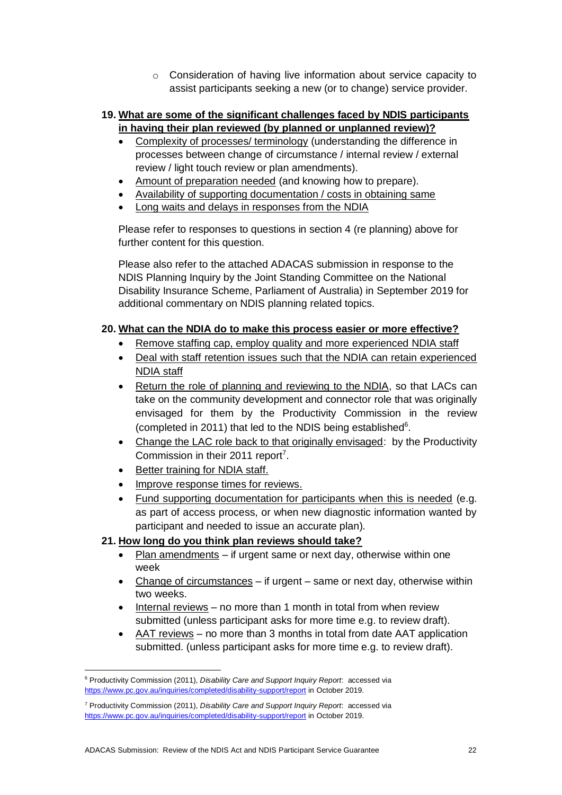o Consideration of having live information about service capacity to assist participants seeking a new (or to change) service provider.

### **19. What are some of the significant challenges faced by NDIS participants in having their plan reviewed (by planned or unplanned review)?**

- Complexity of processes/ terminology (understanding the difference in processes between change of circumstance / internal review / external review / light touch review or plan amendments).
- Amount of preparation needed (and knowing how to prepare).
- Availability of supporting documentation / costs in obtaining same
- Long waits and delays in responses from the NDIA

Please refer to responses to questions in section 4 (re planning) above for further content for this question.

Please also refer to the attached ADACAS submission in response to the NDIS Planning Inquiry by the Joint Standing Committee on the National Disability Insurance Scheme, Parliament of Australia) in September 2019 for additional commentary on NDIS planning related topics.

### **20. What can the NDIA do to make this process easier or more effective?**

- Remove staffing cap, employ quality and more experienced NDIA staff
- Deal with staff retention issues such that the NDIA can retain experienced NDIA staff
- Return the role of planning and reviewing to the NDIA, so that LACs can take on the community development and connector role that was originally envisaged for them by the Productivity Commission in the review (completed in 2011) that led to the NDIS being established<sup>6</sup>.
- Change the LAC role back to that originally envisaged: by the Productivity Commission in their 2011 report<sup>7</sup>.
- Better training for NDIA staff.
- Improve response times for reviews.
- Fund supporting documentation for participants when this is needed (e.g. as part of access process, or when new diagnostic information wanted by participant and needed to issue an accurate plan).

### **21. How long do you think plan reviews should take?**

- Plan amendments  $-$  if urgent same or next day, otherwise within one week
- Change of circumstances if urgent same or next day, otherwise within two weeks.
- Internal reviews no more than 1 month in total from when review submitted (unless participant asks for more time e.g. to review draft).
- AAT reviews no more than 3 months in total from date AAT application submitted. (unless participant asks for more time e.g. to review draft).

 $\overline{a}$ <sup>6</sup> Productivity Commission (2011), *Disability Care and Support Inquiry Report*: accessed via <https://www.pc.gov.au/inquiries/completed/disability-support/report> in October 2019.

<sup>7</sup> Productivity Commission (2011), *Disability Care and Support Inquiry Report*: accessed via <https://www.pc.gov.au/inquiries/completed/disability-support/report> in October 2019.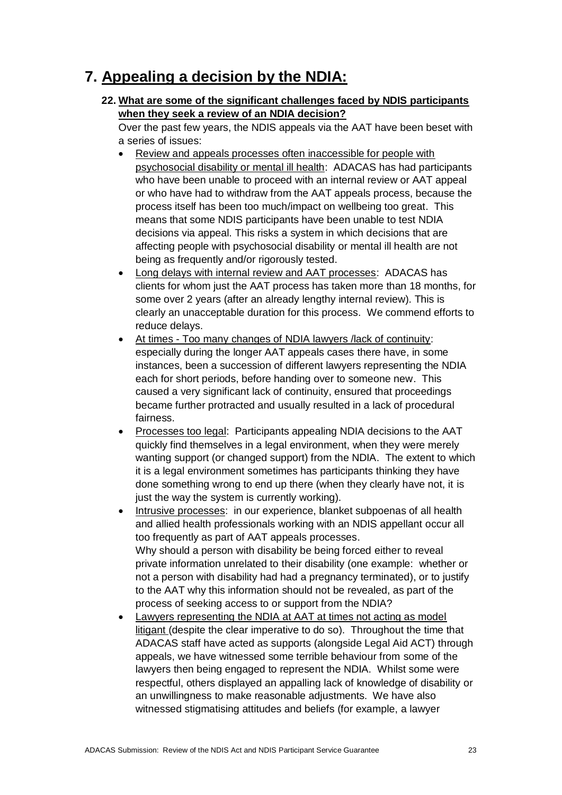### <span id="page-22-0"></span>**7. Appealing a decision by the NDIA:**

**22. What are some of the significant challenges faced by NDIS participants when they seek a review of an NDIA decision?**

Over the past few years, the NDIS appeals via the AAT have been beset with a series of issues:

- Review and appeals processes often inaccessible for people with psychosocial disability or mental ill health: ADACAS has had participants who have been unable to proceed with an internal review or AAT appeal or who have had to withdraw from the AAT appeals process, because the process itself has been too much/impact on wellbeing too great. This means that some NDIS participants have been unable to test NDIA decisions via appeal. This risks a system in which decisions that are affecting people with psychosocial disability or mental ill health are not being as frequently and/or rigorously tested.
- Long delays with internal review and AAT processes: ADACAS has clients for whom just the AAT process has taken more than 18 months, for some over 2 years (after an already lengthy internal review). This is clearly an unacceptable duration for this process. We commend efforts to reduce delays.
- At times Too many changes of NDIA lawyers /lack of continuity: especially during the longer AAT appeals cases there have, in some instances, been a succession of different lawyers representing the NDIA each for short periods, before handing over to someone new. This caused a very significant lack of continuity, ensured that proceedings became further protracted and usually resulted in a lack of procedural fairness.
- Processes too legal: Participants appealing NDIA decisions to the AAT quickly find themselves in a legal environment, when they were merely wanting support (or changed support) from the NDIA. The extent to which it is a legal environment sometimes has participants thinking they have done something wrong to end up there (when they clearly have not, it is just the way the system is currently working).
- Intrusive processes: in our experience, blanket subpoenas of all health and allied health professionals working with an NDIS appellant occur all too frequently as part of AAT appeals processes. Why should a person with disability be being forced either to reveal private information unrelated to their disability (one example: whether or not a person with disability had had a pregnancy terminated), or to justify to the AAT why this information should not be revealed, as part of the process of seeking access to or support from the NDIA?
- Lawyers representing the NDIA at AAT at times not acting as model litigant (despite the clear imperative to do so). Throughout the time that ADACAS staff have acted as supports (alongside Legal Aid ACT) through appeals, we have witnessed some terrible behaviour from some of the lawyers then being engaged to represent the NDIA. Whilst some were respectful, others displayed an appalling lack of knowledge of disability or an unwillingness to make reasonable adjustments. We have also witnessed stigmatising attitudes and beliefs (for example, a lawyer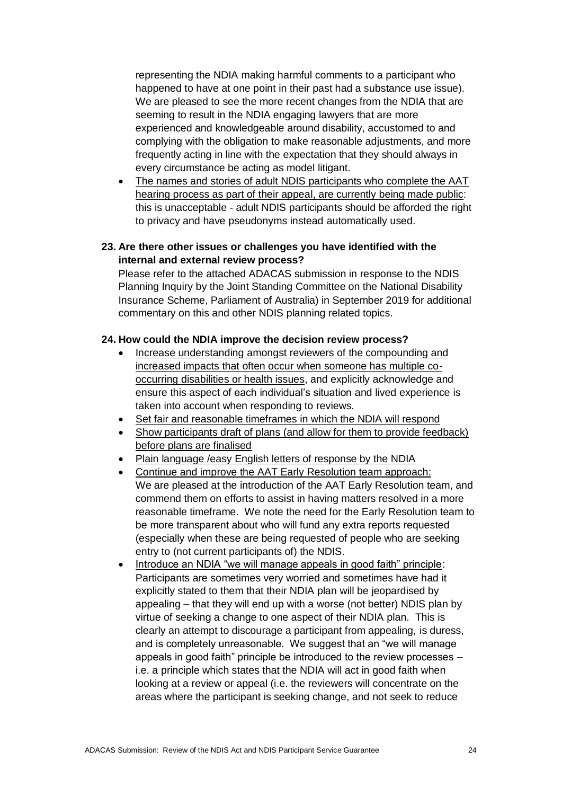representing the NDIA making harmful comments to a participant who happened to have at one point in their past had a substance use issue). We are pleased to see the more recent changes from the NDIA that are seeming to result in the NDIA engaging lawyers that are more experienced and knowledgeable around disability, accustomed to and complying with the obligation to make reasonable adjustments, and more frequently acting in line with the expectation that they should always in every circumstance be acting as model litigant.

 The names and stories of adult NDIS participants who complete the AAT hearing process as part of their appeal, are currently being made public: this is unacceptable - adult NDIS participants should be afforded the right to privacy and have pseudonyms instead automatically used.

### **23. Are there other issues or challenges you have identified with the internal and external review process?**

Please refer to the attached ADACAS submission in response to the NDIS Planning Inquiry by the Joint Standing Committee on the National Disability Insurance Scheme, Parliament of Australia) in September 2019 for additional commentary on this and other NDIS planning related topics.

### **24. How could the NDIA improve the decision review process?**

- Increase understanding amongst reviewers of the compounding and increased impacts that often occur when someone has multiple cooccurring disabilities or health issues, and explicitly acknowledge and ensure this aspect of each individual's situation and lived experience is taken into account when responding to reviews.
- Set fair and reasonable timeframes in which the NDIA will respond
- Show participants draft of plans (and allow for them to provide feedback) before plans are finalised
- Plain language /easy English letters of response by the NDIA
- Continue and improve the AAT Early Resolution team approach: We are pleased at the introduction of the AAT Early Resolution team, and commend them on efforts to assist in having matters resolved in a more reasonable timeframe. We note the need for the Early Resolution team to be more transparent about who will fund any extra reports requested (especially when these are being requested of people who are seeking entry to (not current participants of) the NDIS.
- Introduce an NDIA "we will manage appeals in good faith" principle: Participants are sometimes very worried and sometimes have had it explicitly stated to them that their NDIA plan will be jeopardised by appealing – that they will end up with a worse (not better) NDIS plan by virtue of seeking a change to one aspect of their NDIA plan. This is clearly an attempt to discourage a participant from appealing, is duress, and is completely unreasonable. We suggest that an "we will manage appeals in good faith" principle be introduced to the review processes – i.e. a principle which states that the NDIA will act in good faith when looking at a review or appeal (i.e. the reviewers will concentrate on the areas where the participant is seeking change, and not seek to reduce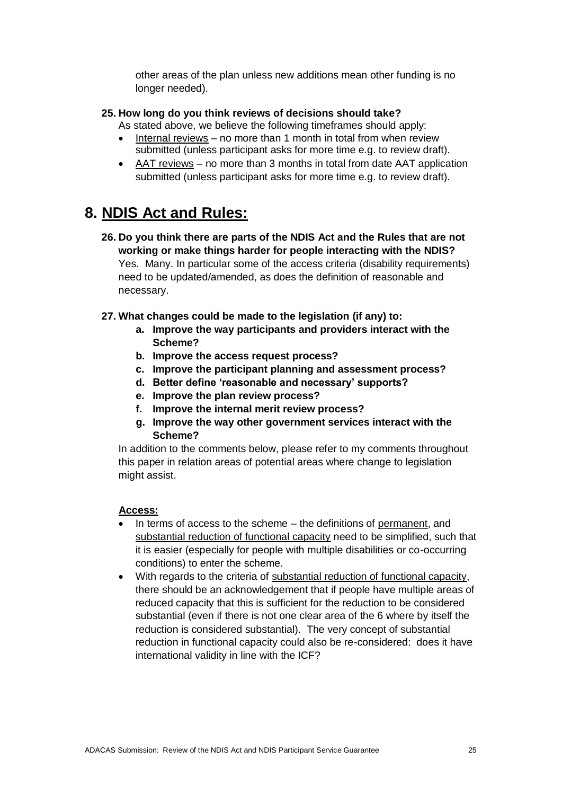other areas of the plan unless new additions mean other funding is no longer needed).

#### **25. How long do you think reviews of decisions should take?**

As stated above, we believe the following timeframes should apply:

- Internal reviews no more than 1 month in total from when review submitted (unless participant asks for more time e.g. to review draft).
- AAT reviews no more than 3 months in total from date AAT application submitted (unless participant asks for more time e.g. to review draft).

### <span id="page-24-0"></span>**8. NDIS Act and Rules:**

- **26. Do you think there are parts of the NDIS Act and the Rules that are not working or make things harder for people interacting with the NDIS?**  Yes. Many. In particular some of the access criteria (disability requirements) need to be updated/amended, as does the definition of reasonable and necessary.
- **27. What changes could be made to the legislation (if any) to:**
	- **a. Improve the way participants and providers interact with the Scheme?**
	- **b. Improve the access request process?**
	- **c. Improve the participant planning and assessment process?**
	- **d. Better define 'reasonable and necessary' supports?**
	- **e. Improve the plan review process?**
	- **f. Improve the internal merit review process?**
	- **g. Improve the way other government services interact with the Scheme?**

In addition to the comments below, please refer to my comments throughout this paper in relation areas of potential areas where change to legislation might assist.

#### **Access:**

- $\bullet$  In terms of access to the scheme the definitions of permanent, and substantial reduction of functional capacity need to be simplified, such that it is easier (especially for people with multiple disabilities or co-occurring conditions) to enter the scheme.
- With regards to the criteria of substantial reduction of functional capacity, there should be an acknowledgement that if people have multiple areas of reduced capacity that this is sufficient for the reduction to be considered substantial (even if there is not one clear area of the 6 where by itself the reduction is considered substantial). The very concept of substantial reduction in functional capacity could also be re-considered: does it have international validity in line with the ICF?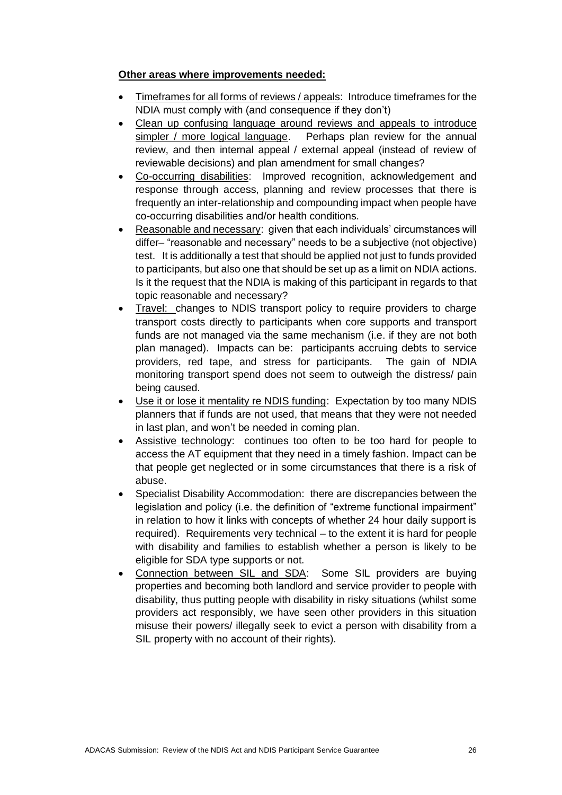#### **Other areas where improvements needed:**

- Timeframes for all forms of reviews / appeals: Introduce timeframes for the NDIA must comply with (and consequence if they don't)
- Clean up confusing language around reviews and appeals to introduce simpler / more logical language. Perhaps plan review for the annual review, and then internal appeal / external appeal (instead of review of reviewable decisions) and plan amendment for small changes?
- Co-occurring disabilities: Improved recognition, acknowledgement and response through access, planning and review processes that there is frequently an inter-relationship and compounding impact when people have co-occurring disabilities and/or health conditions.
- Reasonable and necessary: given that each individuals' circumstances will differ– "reasonable and necessary" needs to be a subjective (not objective) test. It is additionally a test that should be applied not just to funds provided to participants, but also one that should be set up as a limit on NDIA actions. Is it the request that the NDIA is making of this participant in regards to that topic reasonable and necessary?
- Travel: changes to NDIS transport policy to require providers to charge transport costs directly to participants when core supports and transport funds are not managed via the same mechanism (i.e. if they are not both plan managed). Impacts can be: participants accruing debts to service providers, red tape, and stress for participants. The gain of NDIA monitoring transport spend does not seem to outweigh the distress/ pain being caused.
- Use it or lose it mentality re NDIS funding: Expectation by too many NDIS planners that if funds are not used, that means that they were not needed in last plan, and won't be needed in coming plan.
- Assistive technology: continues too often to be too hard for people to access the AT equipment that they need in a timely fashion. Impact can be that people get neglected or in some circumstances that there is a risk of abuse.
- Specialist Disability Accommodation: there are discrepancies between the legislation and policy (i.e. the definition of "extreme functional impairment" in relation to how it links with concepts of whether 24 hour daily support is required). Requirements very technical – to the extent it is hard for people with disability and families to establish whether a person is likely to be eligible for SDA type supports or not.
- Connection between SIL and SDA: Some SIL providers are buying properties and becoming both landlord and service provider to people with disability, thus putting people with disability in risky situations (whilst some providers act responsibly, we have seen other providers in this situation misuse their powers/ illegally seek to evict a person with disability from a SIL property with no account of their rights).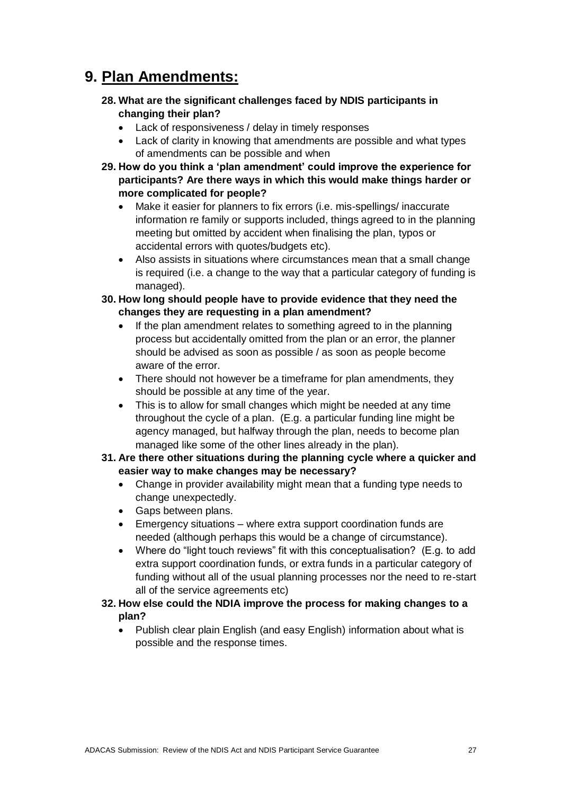### <span id="page-26-0"></span>**9. Plan Amendments:**

- **28. What are the significant challenges faced by NDIS participants in changing their plan?**
	- Lack of responsiveness / delay in timely responses
	- Lack of clarity in knowing that amendments are possible and what types of amendments can be possible and when
- **29. How do you think a 'plan amendment' could improve the experience for participants? Are there ways in which this would make things harder or more complicated for people?**
	- Make it easier for planners to fix errors (i.e. mis-spellings/ inaccurate information re family or supports included, things agreed to in the planning meeting but omitted by accident when finalising the plan, typos or accidental errors with quotes/budgets etc).
	- Also assists in situations where circumstances mean that a small change is required (i.e. a change to the way that a particular category of funding is managed).
- **30. How long should people have to provide evidence that they need the changes they are requesting in a plan amendment?**
	- If the plan amendment relates to something agreed to in the planning process but accidentally omitted from the plan or an error, the planner should be advised as soon as possible / as soon as people become aware of the error.
	- There should not however be a timeframe for plan amendments, they should be possible at any time of the year.
	- This is to allow for small changes which might be needed at any time throughout the cycle of a plan. (E.g. a particular funding line might be agency managed, but halfway through the plan, needs to become plan managed like some of the other lines already in the plan).
- **31. Are there other situations during the planning cycle where a quicker and easier way to make changes may be necessary?**
	- Change in provider availability might mean that a funding type needs to change unexpectedly.
	- Gaps between plans.
	- Emergency situations where extra support coordination funds are needed (although perhaps this would be a change of circumstance).
	- Where do "light touch reviews" fit with this conceptualisation? (E.g. to add extra support coordination funds, or extra funds in a particular category of funding without all of the usual planning processes nor the need to re-start all of the service agreements etc)
- <span id="page-26-1"></span>**32. How else could the NDIA improve the process for making changes to a plan?**
	- Publish clear plain English (and easy English) information about what is possible and the response times.